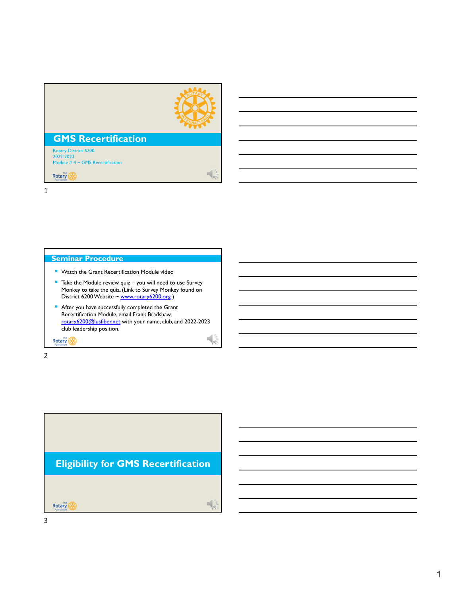

 $\frac{1}{2}$ 

# **GMS Recertification**

Rotary District 6200 2022-2023 Module #4 ~ GMS Recertification

Rotary

1

## **Seminar Procedure**

- **Watch the Grant Recertification Module video**
- $\blacksquare$  Take the Module review quiz you will need to use Survey Monkey to take the quiz. (Link to Survey Monkey found on District 6200 Website ~ www.rotary6200.org)
- 2 After you have successfully completed the Grant Recertification Module, email Frank Bradshaw, rotary6200@lusfiber.net with your name, club, and 2022-2023 club leadership position.

**Rotary** 

2

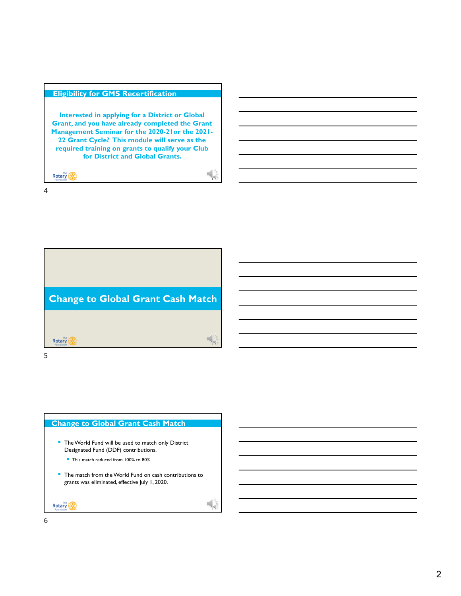## **Eligibility for GMS Recertification**

**Interested in applying for a District or Global Grant, and you have already completed the Grant Management Seminar for the 2020-21or the 2021- 22 Grant Cycle? This module will serve as the required training on grants to qualify your Club for District and Global Grants.** 

 $\frac{1}{2}$ 

**6** 

Rotary (A)

4

**Change to Global Grant Cash Match**  5 **Rotary** 

5

## **Change to Global Grant Cash Match**

- The World Fund will be used to match only District Designated Fund (DDF) contributions.
	- This match reduced from 100% to 80%
- The match from the World Fund on cash contributions to grants was eliminated, effective July 1, 2020.

Rotary (A) 6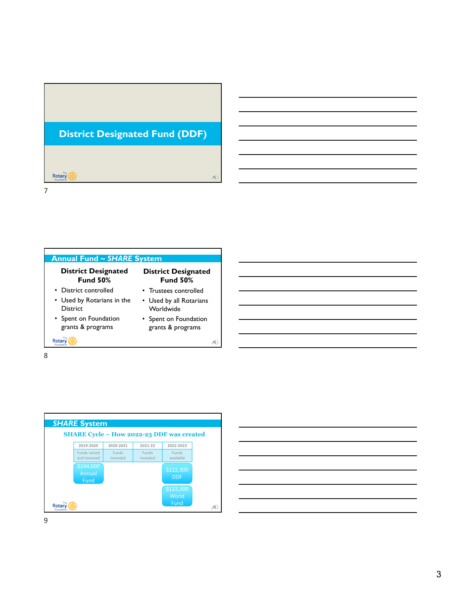







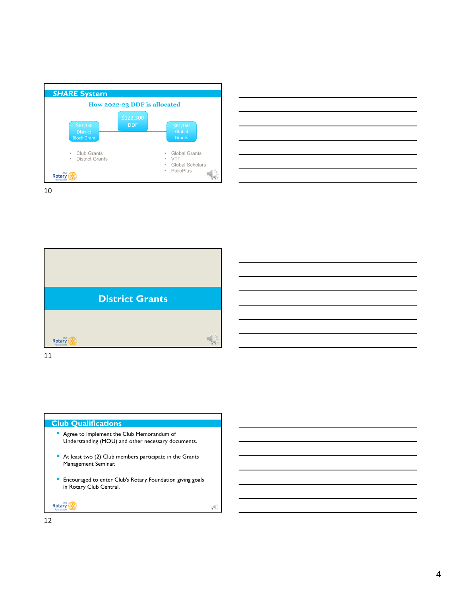



10



11

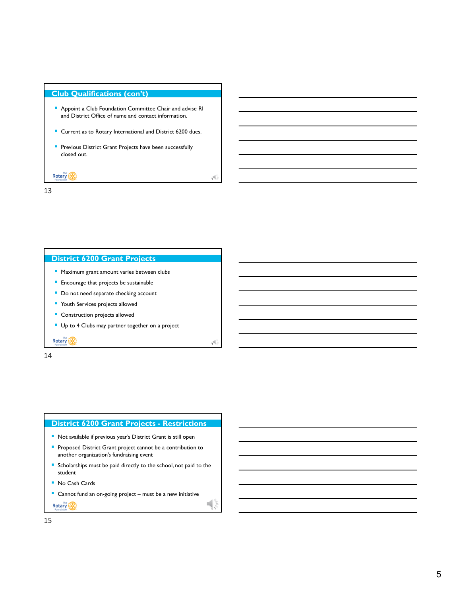## **Club Qualifications (con't)**

- Appoint a Club Foundation Committee Chair and advise RI and District Office of name and contact information.
- Current as to Rotary International and District 6200 dues.

13

14

 $\frac{1}{5}$ 

**Previous District Grant Projects have been successfully** closed out.

Rotary (A) 13

## **District 6200 Grant Projects**

- **Maximum grant amount varies between clubs**
- **Encourage that projects be sustainable**
- Do not need separate checking account
- **Youth Services projects allowed**
- **Construction projects allowed**
- Up to 4 Clubs may partner together on a project

**Rotary** 

14

## **District 6200 Grant Projects - Restrictions Not available if previous year's District Grant is still open Proposed District Grant project cannot be a contribution to** another organization's fundraising event **Scholarships must be paid directly to the school, not paid to the** student

■ No Cash Cards

■ Cannot fund an on-going project – must be a new initiative

Rotary (A)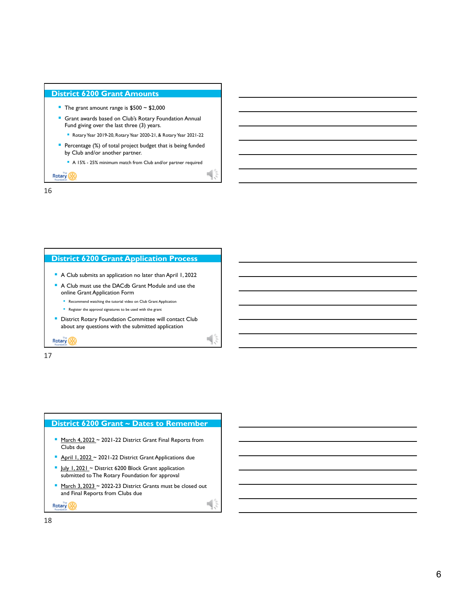### **District 6200 Grant Amounts**

- The grant amount range is  $$500 \sim $2,000$
- **Grant awards based on Club's Rotary Foundation Annual** Fund giving over the last three (3) years.
	- Rotary Year 2019-20, Rotary Year 2020-21, & Rotary Year 2021-22
- **Percentage (%) of total project budget that is being funded** by Club and/or another partner.
	- A 15% 25% minimum match from Club and/or partner required

Rotary (A)

16



17

# **District 6200 Grant ~ Dates to Remember**

- March 4, 2022 ~ 2021-22 District Grant Final Reports from Clubs due
- April 1, 2022 ~ 2021-22 District Grant Applications due
- Uuly 1, 2021 ~ District 6200 Block Grant application submitted to The Rotary Foundation for approval
- $\blacksquare$  March 3, 2023 ~ 2022-23 District Grants must be closed out and Final Reports from Clubs due

 $\blacksquare$ 

Rotary (A)